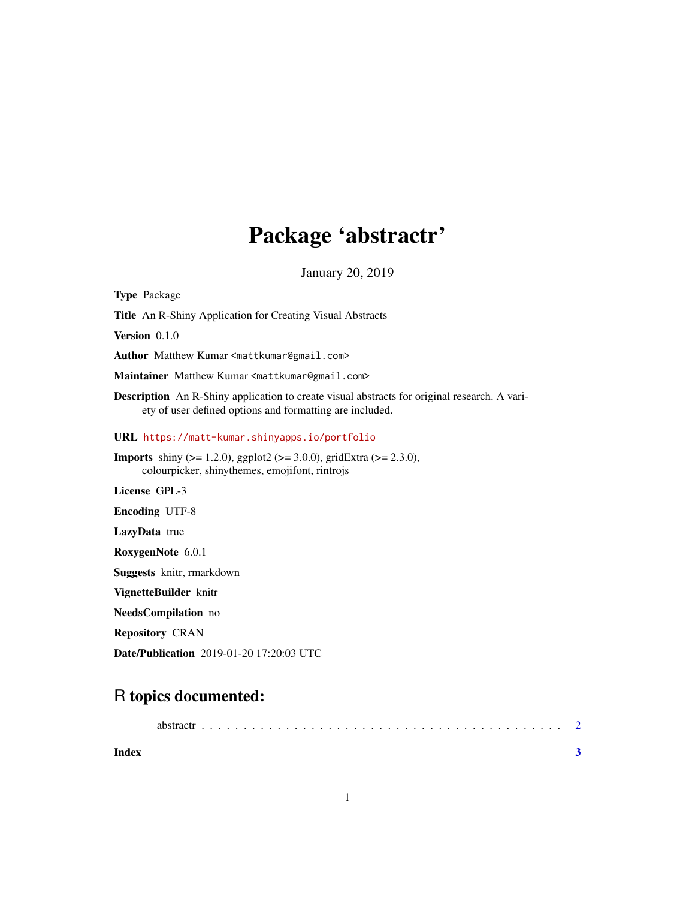### Package 'abstractr'

January 20, 2019

Type Package Title An R-Shiny Application for Creating Visual Abstracts Version 0.1.0 Author Matthew Kumar <mattkumar@gmail.com> Maintainer Matthew Kumar <mattkumar@gmail.com> Description An R-Shiny application to create visual abstracts for original research. A variety of user defined options and formatting are included. URL <https://matt-kumar.shinyapps.io/portfolio> **Imports** shiny ( $>= 1.2.0$ ), ggplot2 ( $>= 3.0.0$ ), gridExtra ( $>= 2.3.0$ ), colourpicker, shinythemes, emojifont, rintrojs License GPL-3 Encoding UTF-8 LazyData true RoxygenNote 6.0.1 Suggests knitr, rmarkdown VignetteBuilder knitr NeedsCompilation no Repository CRAN

Date/Publication 2019-01-20 17:20:03 UTC

### R topics documented:

| abstractr |  |  |  |  |  |  |  |  |  |  |  |  |  |  |  |  |  |  |
|-----------|--|--|--|--|--|--|--|--|--|--|--|--|--|--|--|--|--|--|
|           |  |  |  |  |  |  |  |  |  |  |  |  |  |  |  |  |  |  |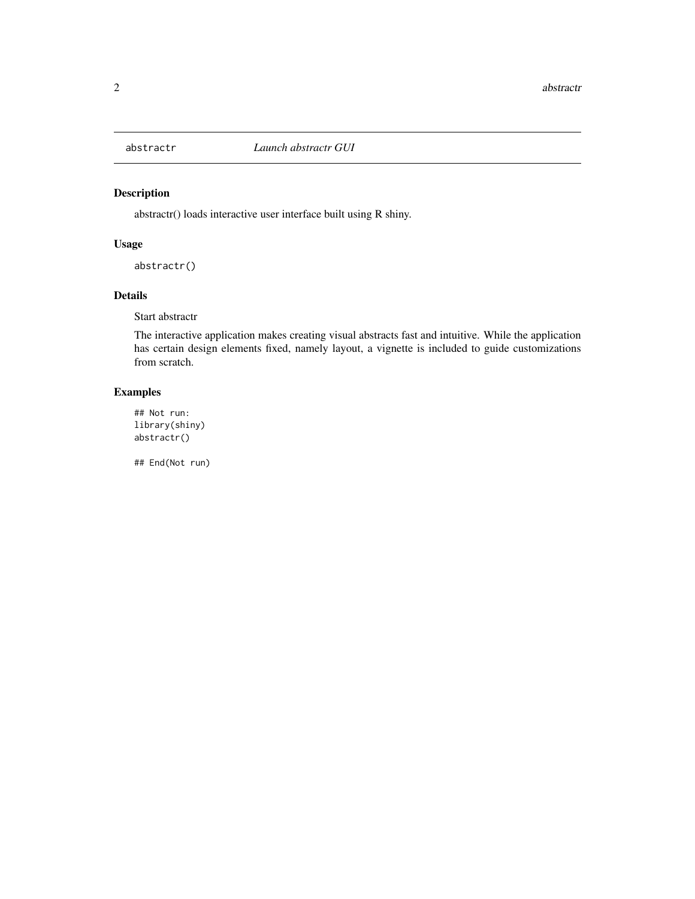<span id="page-1-0"></span>

#### Description

abstractr() loads interactive user interface built using R shiny.

#### Usage

abstractr()

#### Details

Start abstractr

The interactive application makes creating visual abstracts fast and intuitive. While the application has certain design elements fixed, namely layout, a vignette is included to guide customizations from scratch.

#### Examples

## Not run: library(shiny) abstractr()

## End(Not run)